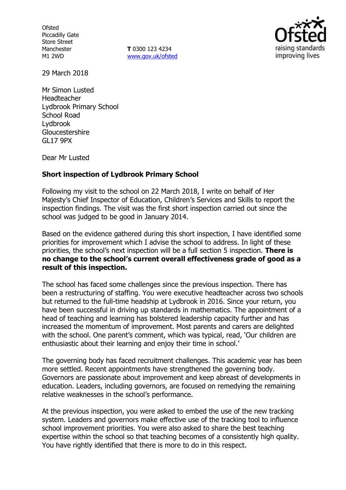**Ofsted** Piccadilly Gate Store Street Manchester M1 2WD

**T** 0300 123 4234 www.gov.uk/ofsted



29 March 2018

Mr Simon Lusted Headteacher Lydbrook Primary School School Road Lydbrook Gloucestershire GL17 9PX

Dear Mr Lusted

#### **Short inspection of Lydbrook Primary School**

Following my visit to the school on 22 March 2018, I write on behalf of Her Majesty's Chief Inspector of Education, Children's Services and Skills to report the inspection findings. The visit was the first short inspection carried out since the school was judged to be good in January 2014.

Based on the evidence gathered during this short inspection, I have identified some priorities for improvement which I advise the school to address. In light of these priorities, the school's next inspection will be a full section 5 inspection. **There is no change to the school's current overall effectiveness grade of good as a result of this inspection.**

The school has faced some challenges since the previous inspection. There has been a restructuring of staffing. You were executive headteacher across two schools but returned to the full-time headship at Lydbrook in 2016. Since your return, you have been successful in driving up standards in mathematics. The appointment of a head of teaching and learning has bolstered leadership capacity further and has increased the momentum of improvement. Most parents and carers are delighted with the school. One parent's comment, which was typical, read, 'Our children are enthusiastic about their learning and enjoy their time in school.'

The governing body has faced recruitment challenges. This academic year has been more settled. Recent appointments have strengthened the governing body. Governors are passionate about improvement and keep abreast of developments in education. Leaders, including governors, are focused on remedying the remaining relative weaknesses in the school's performance.

At the previous inspection, you were asked to embed the use of the new tracking system. Leaders and governors make effective use of the tracking tool to influence school improvement priorities. You were also asked to share the best teaching expertise within the school so that teaching becomes of a consistently high quality. You have rightly identified that there is more to do in this respect.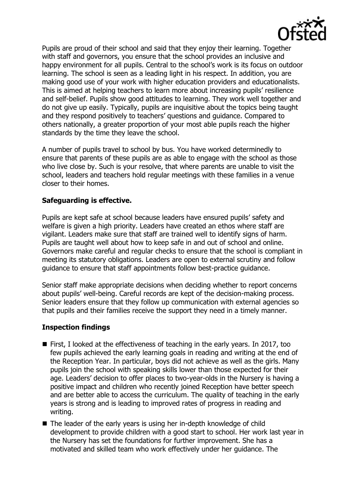

Pupils are proud of their school and said that they enjoy their learning. Together with staff and governors, you ensure that the school provides an inclusive and happy environment for all pupils. Central to the school's work is its focus on outdoor learning. The school is seen as a leading light in his respect. In addition, you are making good use of your work with higher education providers and educationalists. This is aimed at helping teachers to learn more about increasing pupils' resilience and self-belief. Pupils show good attitudes to learning. They work well together and do not give up easily. Typically, pupils are inquisitive about the topics being taught and they respond positively to teachers' questions and guidance. Compared to others nationally, a greater proportion of your most able pupils reach the higher standards by the time they leave the school.

A number of pupils travel to school by bus. You have worked determinedly to ensure that parents of these pupils are as able to engage with the school as those who live close by. Such is your resolve, that where parents are unable to visit the school, leaders and teachers hold regular meetings with these families in a venue closer to their homes.

# **Safeguarding is effective.**

Pupils are kept safe at school because leaders have ensured pupils' safety and welfare is given a high priority. Leaders have created an ethos where staff are vigilant. Leaders make sure that staff are trained well to identify signs of harm. Pupils are taught well about how to keep safe in and out of school and online. Governors make careful and regular checks to ensure that the school is compliant in meeting its statutory obligations. Leaders are open to external scrutiny and follow guidance to ensure that staff appointments follow best-practice guidance.

Senior staff make appropriate decisions when deciding whether to report concerns about pupils' well-being. Careful records are kept of the decision-making process. Senior leaders ensure that they follow up communication with external agencies so that pupils and their families receive the support they need in a timely manner.

### **Inspection findings**

- $\blacksquare$  First, I looked at the effectiveness of teaching in the early years. In 2017, too few pupils achieved the early learning goals in reading and writing at the end of the Reception Year. In particular, boys did not achieve as well as the girls. Many pupils join the school with speaking skills lower than those expected for their age. Leaders' decision to offer places to two-year-olds in the Nursery is having a positive impact and children who recently joined Reception have better speech and are better able to access the curriculum. The quality of teaching in the early years is strong and is leading to improved rates of progress in reading and writing.
- The leader of the early years is using her in-depth knowledge of child development to provide children with a good start to school. Her work last year in the Nursery has set the foundations for further improvement. She has a motivated and skilled team who work effectively under her guidance. The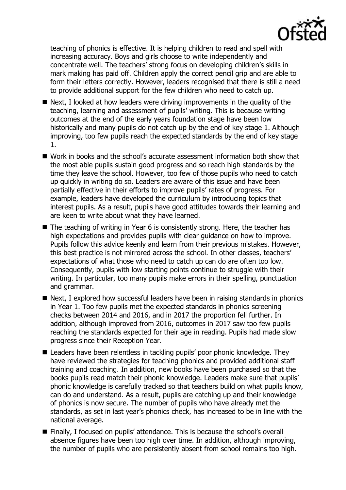

teaching of phonics is effective. It is helping children to read and spell with increasing accuracy. Boys and girls choose to write independently and concentrate well. The teachers' strong focus on developing children's skills in mark making has paid off. Children apply the correct pencil grip and are able to form their letters correctly. However, leaders recognised that there is still a need to provide additional support for the few children who need to catch up.

- $\blacksquare$  Next, I looked at how leaders were driving improvements in the quality of the teaching, learning and assessment of pupils' writing. This is because writing outcomes at the end of the early years foundation stage have been low historically and many pupils do not catch up by the end of key stage 1. Although improving, too few pupils reach the expected standards by the end of key stage 1.
- Work in books and the school's accurate assessment information both show that the most able pupils sustain good progress and so reach high standards by the time they leave the school. However, too few of those pupils who need to catch up quickly in writing do so. Leaders are aware of this issue and have been partially effective in their efforts to improve pupils' rates of progress. For example, leaders have developed the curriculum by introducing topics that interest pupils. As a result, pupils have good attitudes towards their learning and are keen to write about what they have learned.
- The teaching of writing in Year 6 is consistently strong. Here, the teacher has high expectations and provides pupils with clear guidance on how to improve. Pupils follow this advice keenly and learn from their previous mistakes. However, this best practice is not mirrored across the school. In other classes, teachers' expectations of what those who need to catch up can do are often too low. Consequently, pupils with low starting points continue to struggle with their writing. In particular, too many pupils make errors in their spelling, punctuation and grammar.
- Next, I explored how successful leaders have been in raising standards in phonics in Year 1. Too few pupils met the expected standards in phonics screening checks between 2014 and 2016, and in 2017 the proportion fell further. In addition, although improved from 2016, outcomes in 2017 saw too few pupils reaching the standards expected for their age in reading. Pupils had made slow progress since their Reception Year.
- Leaders have been relentless in tackling pupils' poor phonic knowledge. They have reviewed the strategies for teaching phonics and provided additional staff training and coaching. In addition, new books have been purchased so that the books pupils read match their phonic knowledge. Leaders make sure that pupils' phonic knowledge is carefully tracked so that teachers build on what pupils know, can do and understand. As a result, pupils are catching up and their knowledge of phonics is now secure. The number of pupils who have already met the standards, as set in last year's phonics check, has increased to be in line with the national average.
- Finally, I focused on pupils' attendance. This is because the school's overall absence figures have been too high over time. In addition, although improving, the number of pupils who are persistently absent from school remains too high.